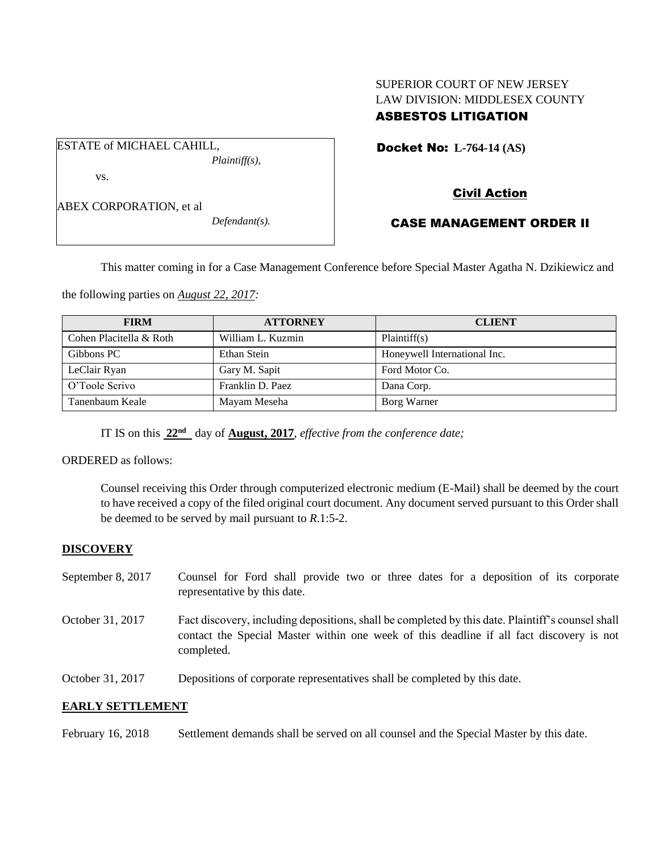# SUPERIOR COURT OF NEW JERSEY LAW DIVISION: MIDDLESEX COUNTY ASBESTOS LITIGATION

Docket No: **L-764-14 (AS)** 

vs.

ABEX CORPORATION, et al

ESTATE of MICHAEL CAHILL,

*Defendant(s).*

*Plaintiff(s),*

# Civil Action

# CASE MANAGEMENT ORDER II

This matter coming in for a Case Management Conference before Special Master Agatha N. Dzikiewicz and

the following parties on *August 22, 2017:*

| <b>FIRM</b>             | <b>ATTORNEY</b>   | <b>CLIENT</b>                |
|-------------------------|-------------------|------------------------------|
| Cohen Placitella & Roth | William L. Kuzmin | Plaintiff(s)                 |
| Gibbons PC              | Ethan Stein       | Honeywell International Inc. |
| LeClair Ryan            | Gary M. Sapit     | Ford Motor Co.               |
| O'Toole Scrivo          | Franklin D. Paez  | Dana Corp.                   |
| Tanenbaum Keale         | Mayam Meseha      | Borg Warner                  |

IT IS on this  $22<sup>nd</sup>$  day of **August, 2017**, *effective from the conference date*;

ORDERED as follows:

Counsel receiving this Order through computerized electronic medium (E-Mail) shall be deemed by the court to have received a copy of the filed original court document. Any document served pursuant to this Order shall be deemed to be served by mail pursuant to *R*.1:5-2.

# **DISCOVERY**

- September 8, 2017 Counsel for Ford shall provide two or three dates for a deposition of its corporate representative by this date.
- October 31, 2017 Fact discovery, including depositions, shall be completed by this date. Plaintiff's counsel shall contact the Special Master within one week of this deadline if all fact discovery is not completed.
- October 31, 2017 Depositions of corporate representatives shall be completed by this date.

### **EARLY SETTLEMENT**

February 16, 2018 Settlement demands shall be served on all counsel and the Special Master by this date.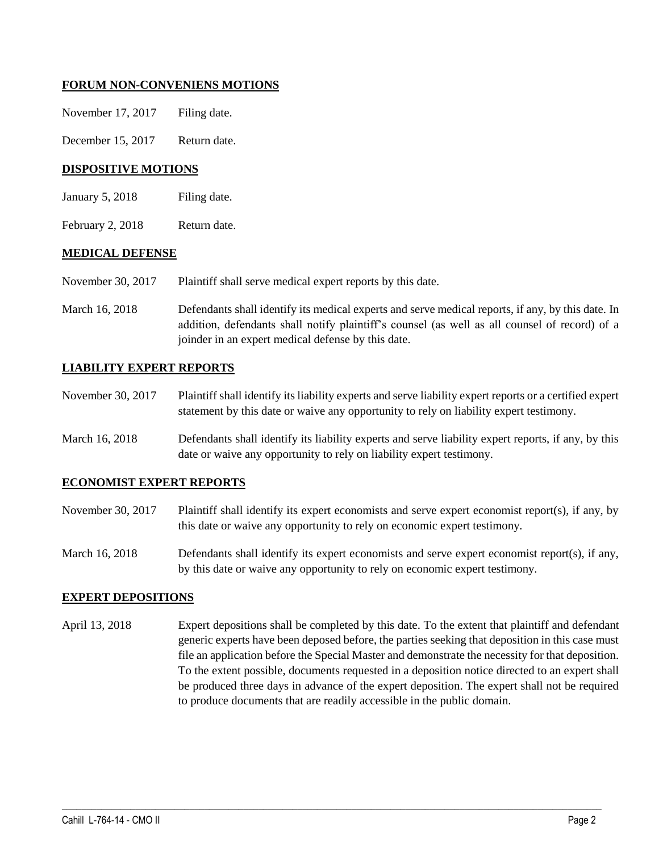## **FORUM NON-CONVENIENS MOTIONS**

| November 17, 2017 | Filing date. |
|-------------------|--------------|
|-------------------|--------------|

December 15, 2017 Return date.

## **DISPOSITIVE MOTIONS**

- January 5, 2018 Filing date.
- February 2, 2018 Return date.

### **MEDICAL DEFENSE**

- November 30, 2017 Plaintiff shall serve medical expert reports by this date.
- March 16, 2018 Defendants shall identify its medical experts and serve medical reports, if any, by this date. In addition, defendants shall notify plaintiff's counsel (as well as all counsel of record) of a joinder in an expert medical defense by this date.

### **LIABILITY EXPERT REPORTS**

- November 30, 2017 Plaintiff shall identify its liability experts and serve liability expert reports or a certified expert statement by this date or waive any opportunity to rely on liability expert testimony.
- March 16, 2018 Defendants shall identify its liability experts and serve liability expert reports, if any, by this date or waive any opportunity to rely on liability expert testimony.

### **ECONOMIST EXPERT REPORTS**

- November 30, 2017 Plaintiff shall identify its expert economists and serve expert economist report(s), if any, by this date or waive any opportunity to rely on economic expert testimony.
- March 16, 2018 Defendants shall identify its expert economists and serve expert economist report(s), if any, by this date or waive any opportunity to rely on economic expert testimony.

### **EXPERT DEPOSITIONS**

April 13, 2018 Expert depositions shall be completed by this date. To the extent that plaintiff and defendant generic experts have been deposed before, the parties seeking that deposition in this case must file an application before the Special Master and demonstrate the necessity for that deposition. To the extent possible, documents requested in a deposition notice directed to an expert shall be produced three days in advance of the expert deposition. The expert shall not be required to produce documents that are readily accessible in the public domain.

 $\_$  ,  $\_$  ,  $\_$  ,  $\_$  ,  $\_$  ,  $\_$  ,  $\_$  ,  $\_$  ,  $\_$  ,  $\_$  ,  $\_$  ,  $\_$  ,  $\_$  ,  $\_$  ,  $\_$  ,  $\_$  ,  $\_$  ,  $\_$  ,  $\_$  ,  $\_$  ,  $\_$  ,  $\_$  ,  $\_$  ,  $\_$  ,  $\_$  ,  $\_$  ,  $\_$  ,  $\_$  ,  $\_$  ,  $\_$  ,  $\_$  ,  $\_$  ,  $\_$  ,  $\_$  ,  $\_$  ,  $\_$  ,  $\_$  ,